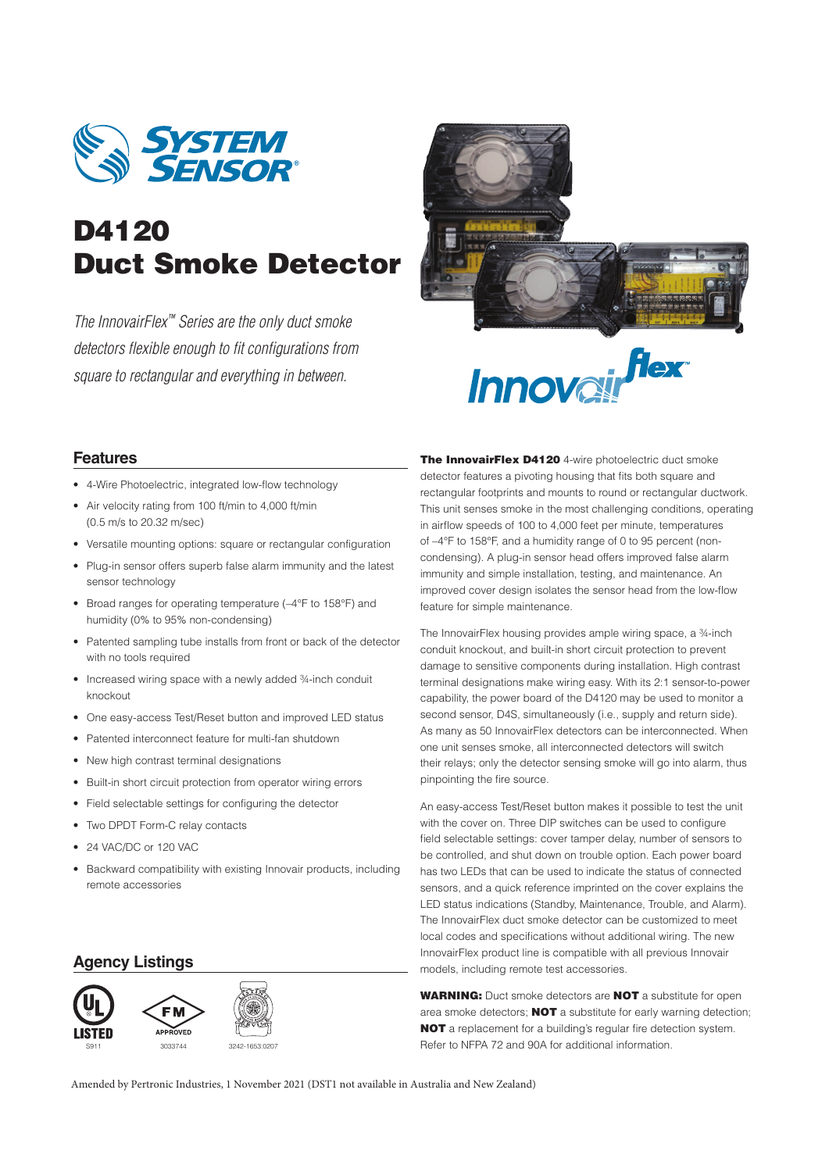

# **D4120 Duct Smoke Detector**

The InnovairFlex™ Series are the only duct smoke detectors flexible enough to fit configurations from square to rectangular and everything in between.



**Innovairflex** 

## **Features**

- 4-Wire Photoelectric, integrated low-flow technology
- Air velocity rating from 100 ft/min to 4,000 ft/min (0.5 m/s to 20.32 m/sec)
- Versatile mounting options: square or rectangular configuration
- Plug-in sensor offers superb false alarm immunity and the latest sensor technology
- Broad ranges for operating temperature (–4°F to 158°F) and humidity (0% to 95% non-condensing)
- Patented sampling tube installs from front or back of the detector with no tools required
- Increased wiring space with a newly added 3/4-inch conduit knockout
- One easy-access Test/Reset button and improved LED status
- Patented interconnect feature for multi-fan shutdown
- New high contrast terminal designations
- Built-in short circuit protection from operator wiring errors
- Field selectable settings for configuring the detector
- Two DPDT Form-C relay contacts
- 24 VAC/DC or 120 VAC
- Backward compatibility with existing Innovair products, including remote accessories

## **Agency Listings**



**The InnovairFlex D4120** 4-wire photoelectric duct smoke detector features a pivoting housing that fits both square and rectangular footprints and mounts to round or rectangular ductwork. This unit senses smoke in the most challenging conditions, operating in airflow speeds of 100 to 4,000 feet per minute, temperatures of –4°F to 158°F, and a humidity range of 0 to 95 percent (noncondensing). A plug-in sensor head offers improved false alarm immunity and simple installation, testing, and maintenance. An improved cover design isolates the sensor head from the low-flow feature for simple maintenance.

The InnovairFlex housing provides ample wiring space, a ¾-inch conduit knockout, and built-in short circuit protection to prevent damage to sensitive components during installation. High contrast terminal designations make wiring easy. With its 2:1 sensor-to-power capability, the power board of the D4120 may be used to monitor a second sensor, D4S, simultaneously (i.e., supply and return side). As many as 50 InnovairFlex detectors can be interconnected. When one unit senses smoke, all interconnected detectors will switch their relays; only the detector sensing smoke will go into alarm, thus pinpointing the fire source.

An easy-access Test/Reset button makes it possible to test the unit with the cover on. Three DIP switches can be used to configure field selectable settings: cover tamper delay, number of sensors to be controlled, and shut down on trouble option. Each power board has two LEDs that can be used to indicate the status of connected sensors, and a quick reference imprinted on the cover explains the LED status indications (Standby, Maintenance, Trouble, and Alarm). The InnovairFlex duct smoke detector can be customized to meet local codes and specifications without additional wiring. The new InnovairFlex product line is compatible with all previous Innovair models, including remote test accessories.

**WARNING:** Duct smoke detectors are **NOT** a substitute for open area smoke detectors; **NOT** a substitute for early warning detection; **NOT** a replacement for a building's regular fire detection system. S911 <sup>3033744</sup> 3242-1653:0207 Refer to NFPA 72 and 90A for additional information.

Amended by Pertronic Industries, 1 November 2021 (DST1 not available in Australia and New Zealand)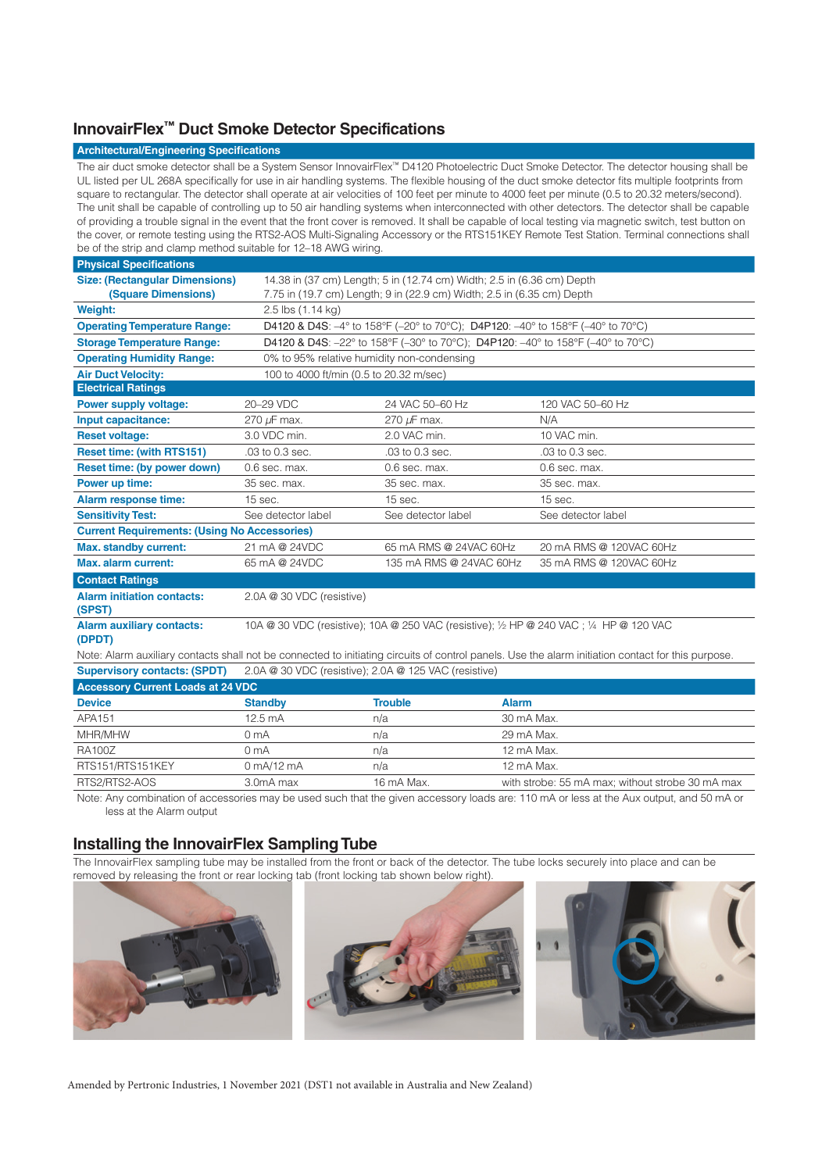## **InnovairFlex™ Duct Smoke Detector Specifications**

#### **Architectural/Engineering Specifications**

The air duct smoke detector shall be a System Sensor InnovairFlex™ D4120 Photoelectric Duct Smoke Detector. The detector housing shall be UL listed per UL 268A specifically for use in air handling systems. The flexible housing of the duct smoke detector fits multiple footprints from square to rectangular. The detector shall operate at air velocities of 100 feet per minute to 4000 feet per minute (0.5 to 20.32 meters/second). The unit shall be capable of controlling up to 50 air handling systems when interconnected with other detectors. The detector shall be capable of providing a trouble signal in the event that the front cover is removed. It shall be capable of local testing via magnetic switch, test button on the cover, or remote testing using the RTS2-AOS Multi-Signaling Accessory or the RTS151KEY Remote Test Station. Terminal connections shall be of the strip and clamp method suitable for 12–18 AWG wiring.

| <b>Physical Specifications</b>                                                                                                                     |                                                                                                                                        |                                                       |                         |  |  |
|----------------------------------------------------------------------------------------------------------------------------------------------------|----------------------------------------------------------------------------------------------------------------------------------------|-------------------------------------------------------|-------------------------|--|--|
| <b>Size: (Rectangular Dimensions)</b>                                                                                                              | 14.38 in (37 cm) Length; 5 in (12.74 cm) Width; 2.5 in (6.36 cm) Depth                                                                 |                                                       |                         |  |  |
| <b>(Square Dimensions)</b>                                                                                                                         | 7.75 in (19.7 cm) Length; 9 in (22.9 cm) Width; 2.5 in (6.35 cm) Depth                                                                 |                                                       |                         |  |  |
| <b>Weight:</b>                                                                                                                                     | 2.5 lbs (1.14 kg)                                                                                                                      |                                                       |                         |  |  |
| <b>Operating Temperature Range:</b>                                                                                                                | <b>D4120 &amp; D4S:</b> $-4^{\circ}$ to 158°F ( $-20^{\circ}$ to 70°C); <b>D4P120:</b> $-40^{\circ}$ to 158°F ( $-40^{\circ}$ to 70°C) |                                                       |                         |  |  |
| <b>Storage Temperature Range:</b>                                                                                                                  | D4120 & D4S: -22° to 158°F (-30° to 70°C); D4P120: -40° to 158°F (-40° to 70°C)                                                        |                                                       |                         |  |  |
| <b>Operating Humidity Range:</b>                                                                                                                   | 0% to 95% relative humidity non-condensing                                                                                             |                                                       |                         |  |  |
| <b>Air Duct Velocity:</b>                                                                                                                          | 100 to 4000 ft/min (0.5 to 20.32 m/sec)                                                                                                |                                                       |                         |  |  |
| <b>Electrical Ratings</b>                                                                                                                          |                                                                                                                                        |                                                       |                         |  |  |
| Power supply voltage:                                                                                                                              | 20-29 VDC                                                                                                                              | 24 VAC 50-60 Hz                                       | 120 VAC 50-60 Hz        |  |  |
| Input capacitance:                                                                                                                                 | 270 µF max.                                                                                                                            | 270 µF max.                                           | N/A                     |  |  |
| <b>Reset voltage:</b>                                                                                                                              | 3.0 VDC min.                                                                                                                           | 2.0 VAC min.                                          | 10 VAC min.             |  |  |
| <b>Reset time: (with RTS151)</b>                                                                                                                   | .03 to 0.3 sec.                                                                                                                        | .03 to 0.3 sec.                                       | .03 to 0.3 sec.         |  |  |
| Reset time: (by power down)                                                                                                                        | $0.6$ sec. max.                                                                                                                        | $0.6$ sec. max.                                       | $0.6$ sec. max.         |  |  |
| Power up time:                                                                                                                                     | 35 sec. max.                                                                                                                           | 35 sec. max.                                          | 35 sec. max.            |  |  |
| <b>Alarm response time:</b>                                                                                                                        | 15 sec.                                                                                                                                | 15 sec.                                               | 15 sec.                 |  |  |
| <b>Sensitivity Test:</b>                                                                                                                           | See detector label                                                                                                                     | See detector label                                    | See detector label      |  |  |
| <b>Current Requirements: (Using No Accessories)</b>                                                                                                |                                                                                                                                        |                                                       |                         |  |  |
| <b>Max. standby current:</b>                                                                                                                       | 21 mA @ 24VDC                                                                                                                          | 65 mA RMS @ 24VAC 60Hz                                | 20 mA RMS @ 120VAC 60Hz |  |  |
| <b>Max. alarm current:</b>                                                                                                                         | 65 mA @ 24VDC                                                                                                                          | 135 mA RMS @ 24VAC 60Hz                               | 35 mA RMS @ 120VAC 60Hz |  |  |
| <b>Contact Ratings</b>                                                                                                                             |                                                                                                                                        |                                                       |                         |  |  |
| <b>Alarm initiation contacts:</b><br>(SPST)                                                                                                        | 2.0A @ 30 VDC (resistive)                                                                                                              |                                                       |                         |  |  |
| <b>Alarm auxiliary contacts:</b><br>(DPDT)                                                                                                         | 10A @ 30 VDC (resistive); 10A @ 250 VAC (resistive); 1/2 HP @ 240 VAC ; 1/4 HP @ 120 VAC                                               |                                                       |                         |  |  |
| Note: Alarm auxiliary contacts shall not be connected to initiating circuits of control panels. Use the alarm initiation contact for this purpose. |                                                                                                                                        |                                                       |                         |  |  |
| <b>Supervisory contacts: (SPDT)</b>                                                                                                                |                                                                                                                                        | 2.0A @ 30 VDC (resistive); 2.0A @ 125 VAC (resistive) |                         |  |  |
| <b>Accessory Current Loads at 24 VDC</b>                                                                                                           |                                                                                                                                        |                                                       |                         |  |  |
| <b>Device</b>                                                                                                                                      | <b>Standby</b>                                                                                                                         | <b>Trouble</b>                                        | <b>Alarm</b>            |  |  |
| APA151                                                                                                                                             | $12.5 \text{ mA}$                                                                                                                      | n/a                                                   | 30 mA Max.              |  |  |

| APA151           | 12.5 MA                      | n/a        | 30 mA Max.                                       |
|------------------|------------------------------|------------|--------------------------------------------------|
| MHR/MHW          | 0 mA                         | n/a        | 29 mA Max.                                       |
| <b>RA100Z</b>    | 0 mA                         | n/a        | 12 mA Max.                                       |
| RTS151/RTS151KEY | $0 \text{ mA}/12 \text{ mA}$ | n/a        | 12 mA Max.                                       |
| RTS2/RTS2-AOS    | 3.0mA max                    | 16 mA Max. | with strobe: 55 mA max: without strobe 30 mA max |

Note: Any combination of accessories may be used such that the given accessory loads are: 110 mA or less at the Aux output, and 50 mA or less at the Alarm output

## **Installing the InnovairFlex Sampling Tube**

The InnovairFlex sampling tube may be installed from the front or back of the detector. The tube locks securely into place and can be removed by releasing the front or rear locking tab (front locking tab shown below right).







Amended by Pertronic Industries, 1 November 2021 (DST1 not available in Australia and New Zealand)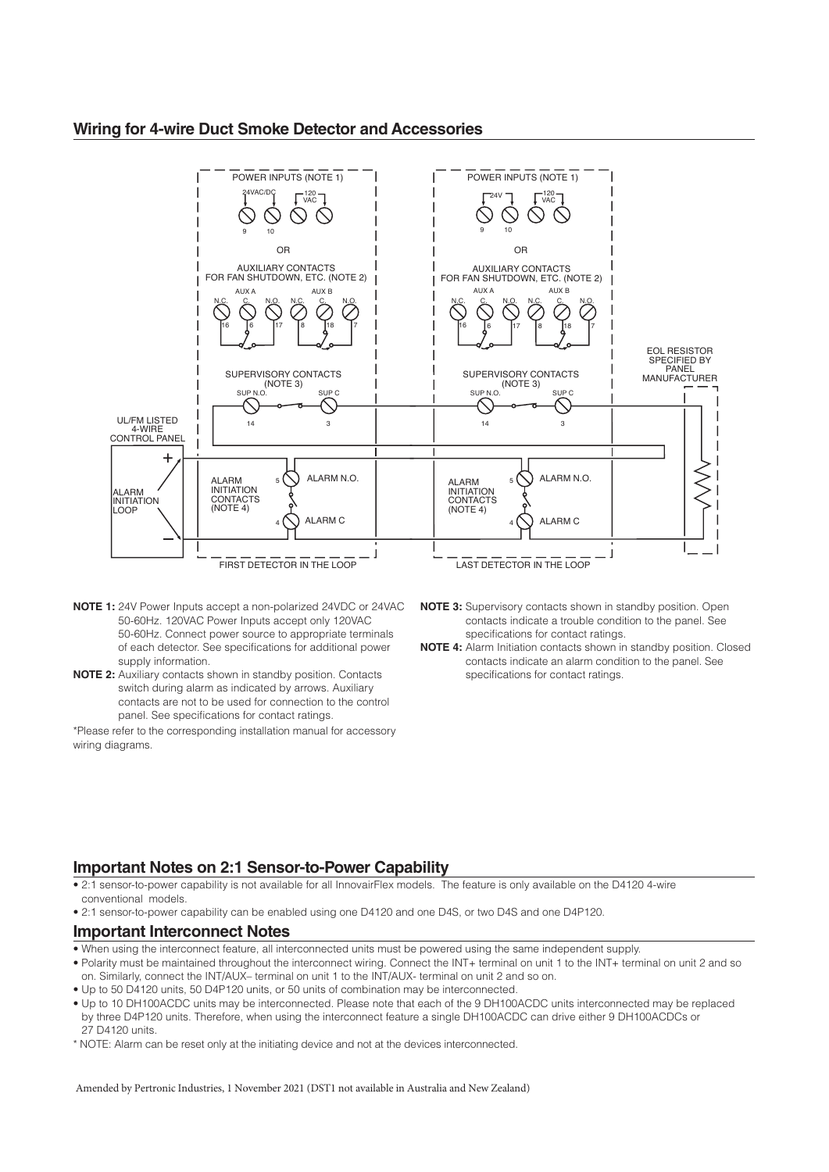### **Wiring for 4-wire Duct Smoke Detector and Accessories**



- **NOTE 1:** 24V Power Inputs accept a non-polarized 24VDC or 24VAC 50-60Hz. 120VAC Power Inputs accept only 120VAC 50-60Hz. Connect power source to appropriate terminals of each detector. See specifications for additional power supply information.
- **NOTE 2:** Auxiliary contacts shown in standby position. Contacts switch during alarm as indicated by arrows. Auxiliary contacts are not to be used for connection to the control panel. See specifications for contact ratings.

\*Please refer to the corresponding installation manual for accessory wiring diagrams.

- **NOTE 3:** Supervisory contacts shown in standby position. Open contacts indicate a trouble condition to the panel. See specifications for contact ratings.
- **NOTE 4:** Alarm Initiation contacts shown in standby position. Closed contacts indicate an alarm condition to the panel. See specifications for contact ratings.

## **Important Notes on 2:1 Sensor-to-Power Capability**

- 2:1 sensor-to-power capability is not available for all InnovairFlex models. The feature is only available on the D4120 4-wire conventional models.
- 2:1 sensor-to-power capability can be enabled using one D4120 and one D4S, or two D4S and one D4P120.

#### **Important Interconnect Notes**

- When using the interconnect feature, all interconnected units must be powered using the same independent supply.
- Polarity must be maintained throughout the interconnect wiring. Connect the INT+ terminal on unit 1 to the INT+ terminal on unit 2 and so on. Similarly, connect the INT/AUX– terminal on unit 1 to the INT/AUX- terminal on unit 2 and so on.
- Up to 50 D4120 units, 50 D4P120 units, or 50 units of combination may be interconnected.
- Up to 10 DH100ACDC units may be interconnected. Please note that each of the 9 DH100ACDC units interconnected may be replaced by three D4P120 units. Therefore, when using the interconnect feature a single DH100ACDC can drive either 9 DH100ACDCs or 27 D4120 units.
- \* NOTE: Alarm can be reset only at the initiating device and not at the devices interconnected.

Amended by Pertronic Industries, 1 November 2021 (DST1 not available in Australia and New Zealand)